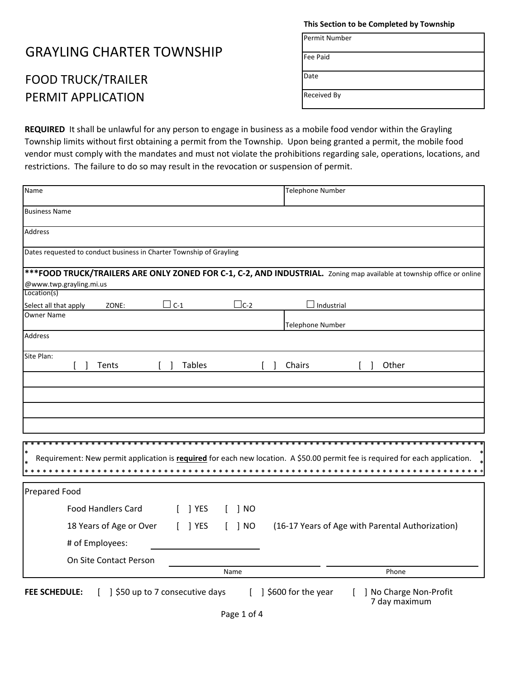## GRAYLING CHARTER TOWNSHIP

## FOOD TRUCK/TRAILER PERMIT APPLICATION

**This Section to be Completed by Township**

Permit Number

Date

Received By

**REQUIRED** It shall be unlawful for any person to engage in business as a mobile food vendor within the Grayling Township limits without first obtaining a permit from the Township. Upon being granted a permit, the mobile food vendor must comply with the mandates and must not violate the prohibitions regarding sale, operations, locations, and restrictions. The failure to do so may result in the revocation or suspension of permit.

| Name                                                                 |                                         | Telephone Number                                                                                                              |
|----------------------------------------------------------------------|-----------------------------------------|-------------------------------------------------------------------------------------------------------------------------------|
| <b>Business Name</b>                                                 |                                         |                                                                                                                               |
| Address                                                              |                                         |                                                                                                                               |
| Dates requested to conduct business in Charter Township of Grayling  |                                         |                                                                                                                               |
|                                                                      |                                         | *** FOOD TRUCK/TRAILERS ARE ONLY ZONED FOR C-1, C-2, AND INDUSTRIAL. Zoning map available at township office or online        |
| @www.twp.grayling.mi.us<br>Location(s)                               |                                         |                                                                                                                               |
| $\Box$ C-1<br>ZONE:<br>Select all that apply                         | $\Box$ C-2                              | $\Box$ Industrial                                                                                                             |
| <b>Owner Name</b>                                                    |                                         | <b>Telephone Number</b>                                                                                                       |
| <b>Address</b>                                                       |                                         |                                                                                                                               |
| Site Plan:<br>Tents                                                  | <b>Tables</b>                           | Chairs<br>Other                                                                                                               |
|                                                                      |                                         | Requirement: New permit application is required for each new location. A \$50.00 permit fee is required for each application. |
|                                                                      |                                         |                                                                                                                               |
| <b>Prepared Food</b>                                                 |                                         |                                                                                                                               |
| <b>Food Handlers Card</b>                                            | ] YES<br>$\vert$ NO                     |                                                                                                                               |
| 18 Years of Age or Over                                              | $\vert$ NO<br>$[$ ] YES<br>$\mathbf{L}$ | (16-17 Years of Age with Parental Authorization)                                                                              |
| # of Employees:                                                      |                                         |                                                                                                                               |
| On Site Contact Person                                               |                                         |                                                                                                                               |
|                                                                      | Name                                    | Phone                                                                                                                         |
| 550 up to 7 consecutive days<br><b>FEE SCHEDULE:</b><br>$\mathbf{L}$ |                                         | $\begin{bmatrix} 1 \\ 2 \end{bmatrix}$ \$600 for the year<br>No Charge Non-Profit<br>7 day maximum                            |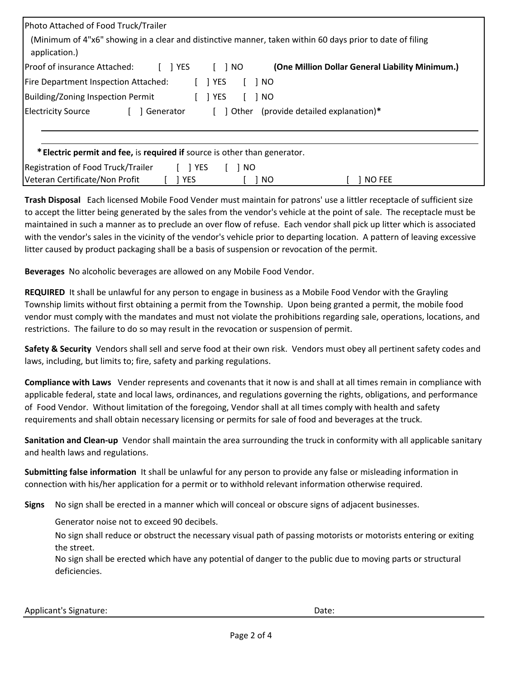| Photo Attached of Food Truck/Trailer<br>(Minimum of 4"x6" showing in a clear and distinctive manner, taken within 60 days prior to date of filing<br>application.) |                                                 |
|--------------------------------------------------------------------------------------------------------------------------------------------------------------------|-------------------------------------------------|
| Proof of insurance Attached:<br>$\lceil$   YES<br>$\lceil$ $\rceil$ NO                                                                                             | (One Million Dollar General Liability Minimum.) |
| Fire Department Inspection Attached:<br>$\lceil$   YES<br>Building/Zoning Inspection Permit<br><b>YES</b>                                                          | 1 NO<br>1 NO                                    |
| <b>Electricity Source</b><br>Generator                                                                                                                             | [ ] Other (provide detailed explanation)*       |
| * Electric permit and fee, is required if source is other than generator.                                                                                          |                                                 |
| Registration of Food Truck/Trailer<br>$[$ ] YES<br>l NO                                                                                                            |                                                 |
| Veteran Certificate/Non Profit<br>1 YES                                                                                                                            | ] NO FEE<br>NO                                  |

**Trash Disposal** Each licensed Mobile Food Vender must maintain for patrons' use a littler receptacle of sufficient size to accept the litter being generated by the sales from the vendor's vehicle at the point of sale. The receptacle must be maintained in such a manner as to preclude an over flow of refuse. Each vendor shall pick up litter which is associated with the vendor's sales in the vicinity of the vendor's vehicle prior to departing location. A pattern of leaving excessive litter caused by product packaging shall be a basis of suspension or revocation of the permit.

**Beverages** No alcoholic beverages are allowed on any Mobile Food Vendor.

**REQUIRED** It shall be unlawful for any person to engage in business as a Mobile Food Vendor with the Grayling Township limits without first obtaining a permit from the Township. Upon being granted a permit, the mobile food vendor must comply with the mandates and must not violate the prohibitions regarding sale, operations, locations, and restrictions. The failure to do so may result in the revocation or suspension of permit.

**Safety & Security** Vendors shall sell and serve food at their own risk. Vendors must obey all pertinent safety codes and laws, including, but limits to; fire, safety and parking regulations.

**Compliance with Laws** Vender represents and covenants that it now is and shall at all times remain in compliance with applicable federal, state and local laws, ordinances, and regulations governing the rights, obligations, and performance of Food Vendor. Without limitation of the foregoing, Vendor shall at all times comply with health and safety requirements and shall obtain necessary licensing or permits for sale of food and beverages at the truck.

**Sanitation and Clean-up** Vendor shall maintain the area surrounding the truck in conformity with all applicable sanitary and health laws and regulations.

**Submitting false information** It shall be unlawful for any person to provide any false or misleading information in connection with his/her application for a permit or to withhold relevant information otherwise required.

**Signs** No sign shall be erected in a manner which will conceal or obscure signs of adjacent businesses.

Generator noise not to exceed 90 decibels.

No sign shall reduce or obstruct the necessary visual path of passing motorists or motorists entering or exiting the street.

No sign shall be erected which have any potential of danger to the public due to moving parts or structural deficiencies.

Applicant's Signature:  $\blacksquare$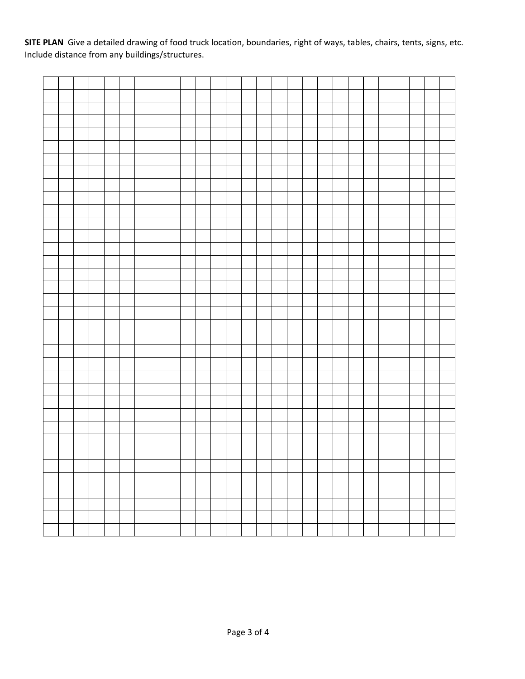**SITE PLAN** Give a detailed drawing of food truck location, boundaries, right of ways, tables, chairs, tents, signs, etc. Include distance from any buildings/structures.